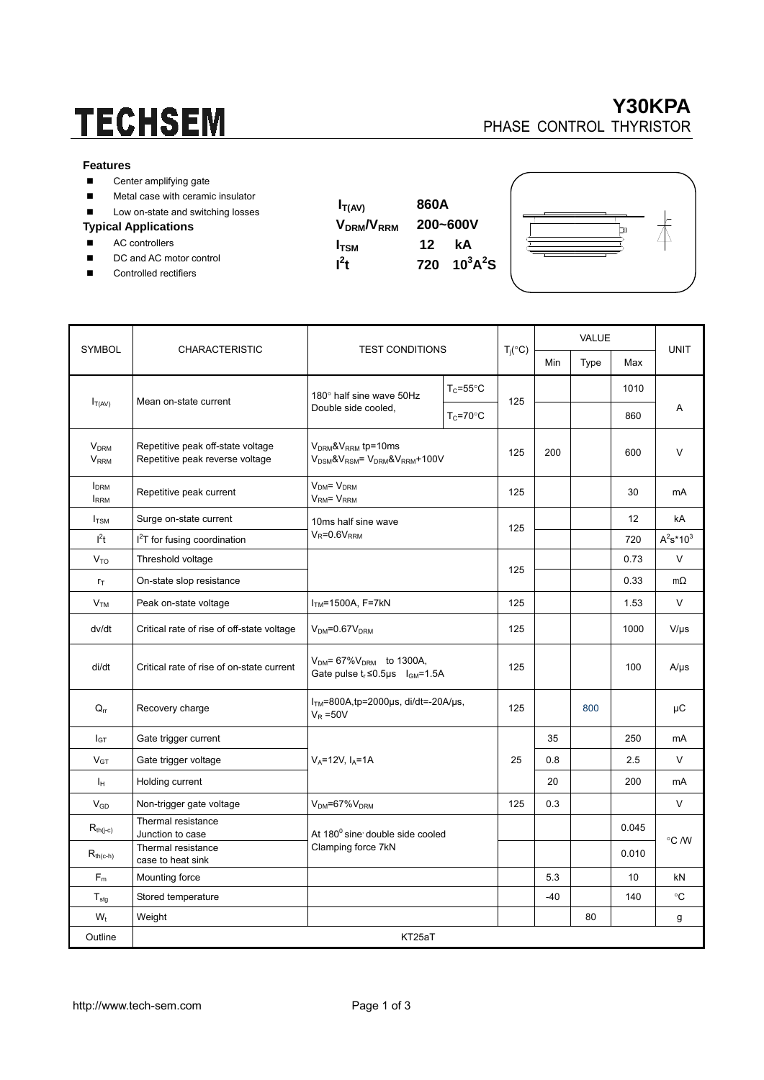# **TECHSEM**

### **Y30KPA**  PHASE CONTROL THYRISTOR

#### **Features**

| Center amplifying gate |  |  |
|------------------------|--|--|
|                        |  |  |

- **Metal case with ceramic insulator**
- Low on-state and switching losses

#### **Typical Applications**

- AC controllers
- DC and AC motor control
- Controlled rectifiers

 $I_{T(AV)}$  860A **VDRM/VRRM 200~600V I**<sub>TSM</sub> 12 kA  $t$  720  $10^3$ A<sup>2</sup>S

 $\mathbf{I}^2$ 



|                                        | <b>CHARACTERISTIC</b>                                                | <b>TEST CONDITIONS</b>                                                               |                      | $T_j({}^{\circ}C)$ | VALUE |      |           |                 |  |
|----------------------------------------|----------------------------------------------------------------------|--------------------------------------------------------------------------------------|----------------------|--------------------|-------|------|-----------|-----------------|--|
| <b>SYMBOL</b>                          |                                                                      |                                                                                      |                      |                    | Min   | Type | Max       | <b>UNIT</b>     |  |
| $I_{T(AV)}$                            | Mean on-state current                                                | 180° half sine wave 50Hz<br>Double side cooled.                                      | $T_c = 55^{\circ}$ C | 125                |       |      | 1010      |                 |  |
|                                        |                                                                      |                                                                                      | $T_C = 70$ °C        |                    |       |      | 860       | Α               |  |
| <b>V<sub>DRM</sub></b><br>$V_{RRM}$    | Repetitive peak off-state voltage<br>Repetitive peak reverse voltage | $V_{DRM}$ & $V_{RRM}$ tp=10ms<br>$V_{DSM}$ & $V_{RSM}$ = $V_{DRM}$ & $V_{RRM}$ +100V |                      | 125                | 200   |      | 600       | V               |  |
| <b>I</b> <sub>DRM</sub><br><b>IRRM</b> | Repetitive peak current                                              | $V_{DM} = V_{DRM}$<br>V <sub>RM</sub> = V <sub>RRM</sub>                             |                      | 125                |       |      | 30        | mA              |  |
| $I_{TSM}$                              | Surge on-state current                                               | 10ms half sine wave<br>$V_R = 0.6V_{RRM}$                                            |                      | 125                |       |      | 12        | kA              |  |
| $l^2t$                                 | I <sup>2</sup> T for fusing coordination                             |                                                                                      |                      |                    |       |      | 720       | $A^2s^*10^3$    |  |
| V <sub>TO</sub>                        | Threshold voltage                                                    |                                                                                      |                      |                    |       |      | 0.73      | V               |  |
| $r_T$                                  | On-state slop resistance                                             |                                                                                      | 125                  |                    |       | 0.33 | $m\Omega$ |                 |  |
| V <sub>TM</sub>                        | Peak on-state voltage                                                | $ITM=1500A, F=7kN$                                                                   | 125                  |                    |       | 1.53 | $\vee$    |                 |  |
| dv/dt                                  | Critical rate of rise of off-state voltage                           | $VDM=0.67VDRM$                                                                       | 125                  |                    |       | 1000 | $V/\mu s$ |                 |  |
| di/dt                                  | Critical rate of rise of on-state current                            | $V_{DM}$ = 67% $V_{DRM}$ to 1300A,<br>Gate pulse $t_r \le 0.5$ µs $I_{GM} = 1.5$ A   |                      | 125                |       |      | 100       | $A/\mu s$       |  |
| $Q_{rr}$                               | Recovery charge                                                      | $ITM=800A$ , tp=2000µs, di/dt=-20A/µs,<br>$V_R = 50V$                                |                      | 125                |       | 800  |           | μC              |  |
| $I_{GT}$                               | Gate trigger current                                                 |                                                                                      |                      | 25                 | 35    |      | 250       | mA              |  |
| $V_{GT}$                               | Gate trigger voltage                                                 | $V_A = 12V$ , $I_A = 1A$                                                             | 0.8                  |                    |       | 2.5  | $\vee$    |                 |  |
| Iн                                     | Holding current                                                      |                                                                                      |                      |                    | 20    |      | 200       | mA              |  |
| $V_{GD}$                               | Non-trigger gate voltage                                             | $V_{DM} = 67\%V_{DRM}$                                                               |                      | 125                | 0.3   |      |           | $\vee$          |  |
| $R_{th(j-c)}$                          | Thermal resistance<br>Junction to case                               | At 180 <sup>0</sup> sine double side cooled<br>Clamping force 7kN                    |                      |                    |       |      | 0.045     |                 |  |
| $R_{th(c-h)}$                          | Thermal resistance<br>case to heat sink                              |                                                                                      |                      |                    |       |      | 0.010     | °C /W           |  |
| $F_m$                                  | Mounting force                                                       |                                                                                      |                      |                    | 5.3   |      | 10        | kN              |  |
| $T_{\text{stg}}$                       | Stored temperature                                                   |                                                                                      |                      |                    | $-40$ |      | 140       | $\rm ^{\circ}C$ |  |
| $W_t$                                  | Weight                                                               |                                                                                      |                      |                    |       | 80   |           | g               |  |
| Outline                                | KT25aT                                                               |                                                                                      |                      |                    |       |      |           |                 |  |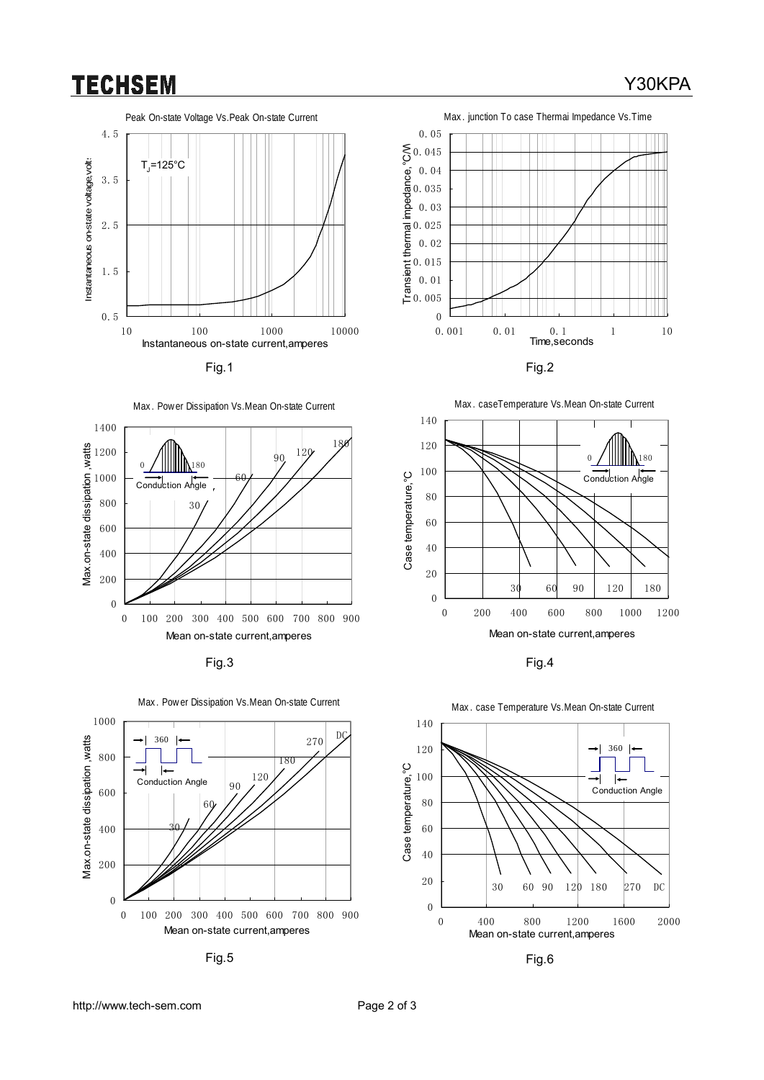## **TECHSEM**











Fig.5 Fig.6











#### Y30KPA